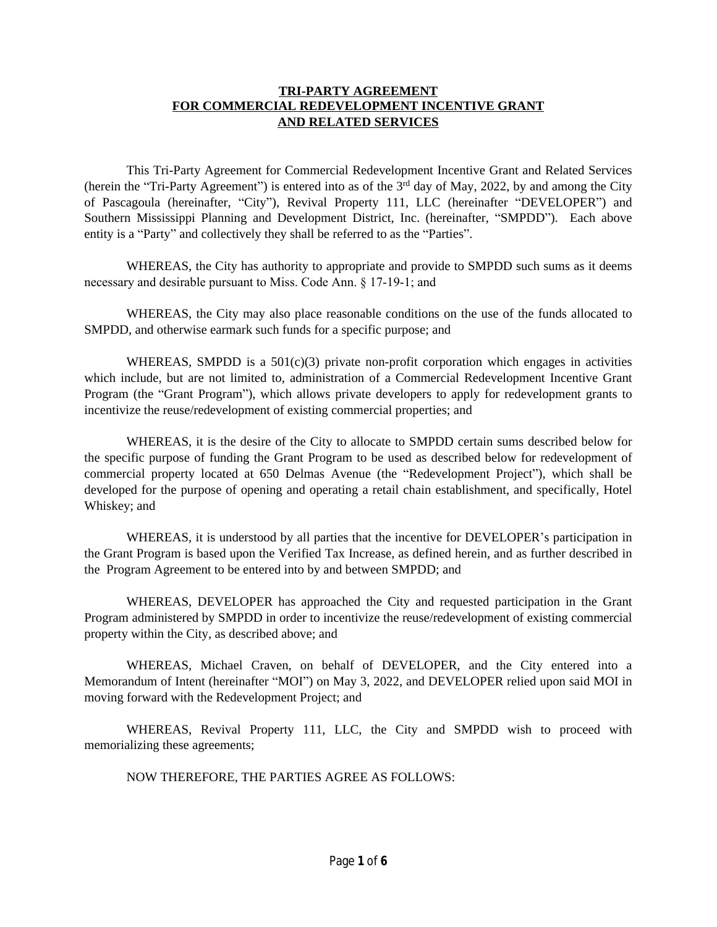### **TRI-PARTY AGREEMENT FOR COMMERCIAL REDEVELOPMENT INCENTIVE GRANT AND RELATED SERVICES**

This Tri-Party Agreement for Commercial Redevelopment Incentive Grant and Related Services (herein the "Tri-Party Agreement") is entered into as of the 3<sup>rd</sup> day of May, 2022, by and among the City of Pascagoula (hereinafter, "City"), Revival Property 111, LLC (hereinafter "DEVELOPER") and Southern Mississippi Planning and Development District, Inc. (hereinafter, "SMPDD"). Each above entity is a "Party" and collectively they shall be referred to as the "Parties".

WHEREAS, the City has authority to appropriate and provide to SMPDD such sums as it deems necessary and desirable pursuant to Miss. Code Ann. § 17-19-1; and

WHEREAS, the City may also place reasonable conditions on the use of the funds allocated to SMPDD, and otherwise earmark such funds for a specific purpose; and

WHEREAS, SMPDD is a  $501(c)(3)$  private non-profit corporation which engages in activities which include, but are not limited to, administration of a Commercial Redevelopment Incentive Grant Program (the "Grant Program"), which allows private developers to apply for redevelopment grants to incentivize the reuse/redevelopment of existing commercial properties; and

WHEREAS, it is the desire of the City to allocate to SMPDD certain sums described below for the specific purpose of funding the Grant Program to be used as described below for redevelopment of commercial property located at 650 Delmas Avenue (the "Redevelopment Project"), which shall be developed for the purpose of opening and operating a retail chain establishment, and specifically, Hotel Whiskey; and

WHEREAS, it is understood by all parties that the incentive for DEVELOPER's participation in the Grant Program is based upon the Verified Tax Increase, as defined herein, and as further described in the Program Agreement to be entered into by and between SMPDD; and

WHEREAS, DEVELOPER has approached the City and requested participation in the Grant Program administered by SMPDD in order to incentivize the reuse/redevelopment of existing commercial property within the City, as described above; and

WHEREAS, Michael Craven, on behalf of DEVELOPER, and the City entered into a Memorandum of Intent (hereinafter "MOI") on May 3, 2022, and DEVELOPER relied upon said MOI in moving forward with the Redevelopment Project; and

WHEREAS, Revival Property 111, LLC, the City and SMPDD wish to proceed with memorializing these agreements;

NOW THEREFORE, THE PARTIES AGREE AS FOLLOWS: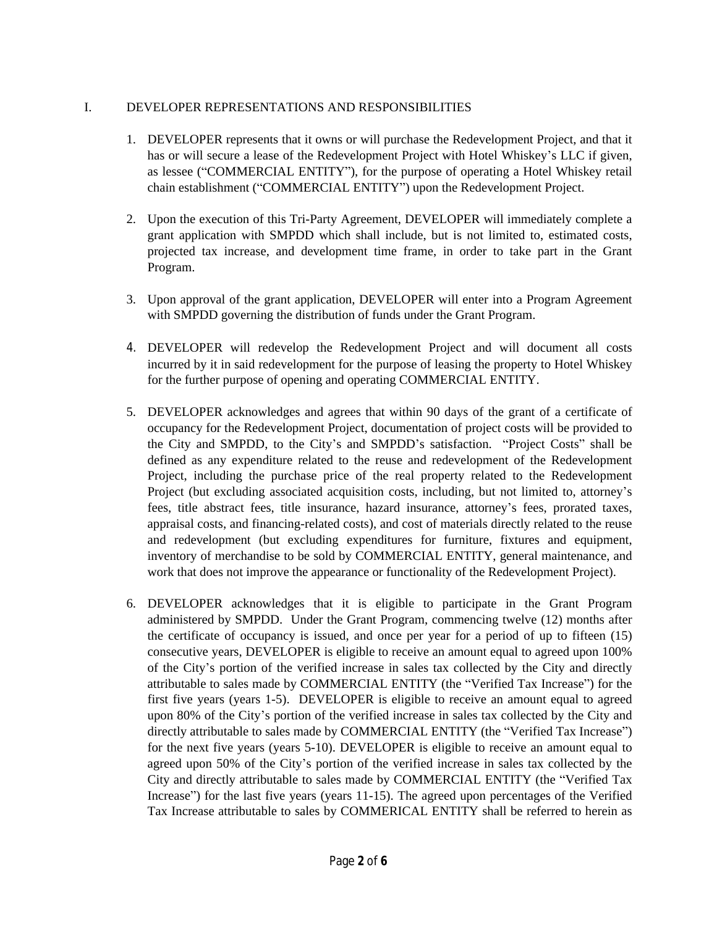## I. DEVELOPER REPRESENTATIONS AND RESPONSIBILITIES

- 1. DEVELOPER represents that it owns or will purchase the Redevelopment Project, and that it has or will secure a lease of the Redevelopment Project with Hotel Whiskey's LLC if given, as lessee ("COMMERCIAL ENTITY"), for the purpose of operating a Hotel Whiskey retail chain establishment ("COMMERCIAL ENTITY") upon the Redevelopment Project.
- 2. Upon the execution of this Tri-Party Agreement, DEVELOPER will immediately complete a grant application with SMPDD which shall include, but is not limited to, estimated costs, projected tax increase, and development time frame, in order to take part in the Grant Program.
- 3. Upon approval of the grant application, DEVELOPER will enter into a Program Agreement with SMPDD governing the distribution of funds under the Grant Program.
- 4. DEVELOPER will redevelop the Redevelopment Project and will document all costs incurred by it in said redevelopment for the purpose of leasing the property to Hotel Whiskey for the further purpose of opening and operating COMMERCIAL ENTITY.
- 5. DEVELOPER acknowledges and agrees that within 90 days of the grant of a certificate of occupancy for the Redevelopment Project, documentation of project costs will be provided to the City and SMPDD, to the City's and SMPDD's satisfaction. "Project Costs" shall be defined as any expenditure related to the reuse and redevelopment of the Redevelopment Project, including the purchase price of the real property related to the Redevelopment Project (but excluding associated acquisition costs, including, but not limited to, attorney's fees, title abstract fees, title insurance, hazard insurance, attorney's fees, prorated taxes, appraisal costs, and financing-related costs), and cost of materials directly related to the reuse and redevelopment (but excluding expenditures for furniture, fixtures and equipment, inventory of merchandise to be sold by COMMERCIAL ENTITY, general maintenance, and work that does not improve the appearance or functionality of the Redevelopment Project).
- 6. DEVELOPER acknowledges that it is eligible to participate in the Grant Program administered by SMPDD. Under the Grant Program, commencing twelve (12) months after the certificate of occupancy is issued, and once per year for a period of up to fifteen (15) consecutive years, DEVELOPER is eligible to receive an amount equal to agreed upon 100% of the City's portion of the verified increase in sales tax collected by the City and directly attributable to sales made by COMMERCIAL ENTITY (the "Verified Tax Increase") for the first five years (years 1-5). DEVELOPER is eligible to receive an amount equal to agreed upon 80% of the City's portion of the verified increase in sales tax collected by the City and directly attributable to sales made by COMMERCIAL ENTITY (the "Verified Tax Increase") for the next five years (years 5-10). DEVELOPER is eligible to receive an amount equal to agreed upon 50% of the City's portion of the verified increase in sales tax collected by the City and directly attributable to sales made by COMMERCIAL ENTITY (the "Verified Tax Increase") for the last five years (years 11-15). The agreed upon percentages of the Verified Tax Increase attributable to sales by COMMERICAL ENTITY shall be referred to herein as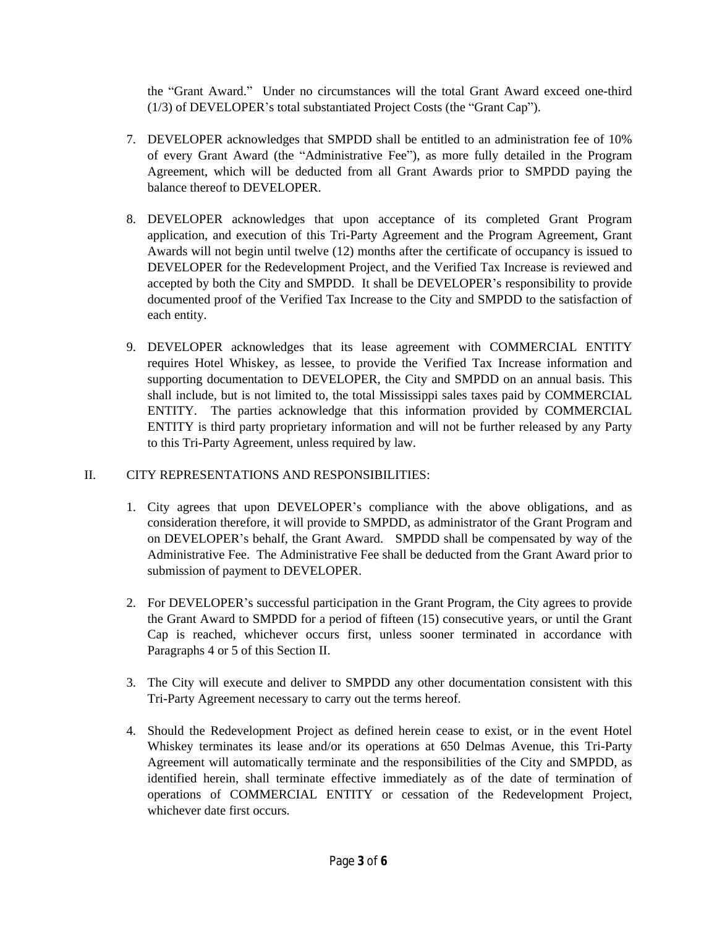the "Grant Award." Under no circumstances will the total Grant Award exceed one-third (1/3) of DEVELOPER's total substantiated Project Costs (the "Grant Cap").

- 7. DEVELOPER acknowledges that SMPDD shall be entitled to an administration fee of 10% of every Grant Award (the "Administrative Fee"), as more fully detailed in the Program Agreement, which will be deducted from all Grant Awards prior to SMPDD paying the balance thereof to DEVELOPER.
- 8. DEVELOPER acknowledges that upon acceptance of its completed Grant Program application, and execution of this Tri-Party Agreement and the Program Agreement, Grant Awards will not begin until twelve (12) months after the certificate of occupancy is issued to DEVELOPER for the Redevelopment Project, and the Verified Tax Increase is reviewed and accepted by both the City and SMPDD. It shall be DEVELOPER's responsibility to provide documented proof of the Verified Tax Increase to the City and SMPDD to the satisfaction of each entity.
- 9. DEVELOPER acknowledges that its lease agreement with COMMERCIAL ENTITY requires Hotel Whiskey, as lessee, to provide the Verified Tax Increase information and supporting documentation to DEVELOPER, the City and SMPDD on an annual basis. This shall include, but is not limited to, the total Mississippi sales taxes paid by COMMERCIAL ENTITY. The parties acknowledge that this information provided by COMMERCIAL ENTITY is third party proprietary information and will not be further released by any Party to this Tri-Party Agreement, unless required by law.

## II. CITY REPRESENTATIONS AND RESPONSIBILITIES:

- 1. City agrees that upon DEVELOPER's compliance with the above obligations, and as consideration therefore, it will provide to SMPDD, as administrator of the Grant Program and on DEVELOPER's behalf, the Grant Award. SMPDD shall be compensated by way of the Administrative Fee. The Administrative Fee shall be deducted from the Grant Award prior to submission of payment to DEVELOPER.
- 2. For DEVELOPER's successful participation in the Grant Program, the City agrees to provide the Grant Award to SMPDD for a period of fifteen (15) consecutive years, or until the Grant Cap is reached, whichever occurs first, unless sooner terminated in accordance with Paragraphs 4 or 5 of this Section II.
- 3. The City will execute and deliver to SMPDD any other documentation consistent with this Tri-Party Agreement necessary to carry out the terms hereof.
- 4. Should the Redevelopment Project as defined herein cease to exist, or in the event Hotel Whiskey terminates its lease and/or its operations at 650 Delmas Avenue, this Tri-Party Agreement will automatically terminate and the responsibilities of the City and SMPDD, as identified herein, shall terminate effective immediately as of the date of termination of operations of COMMERCIAL ENTITY or cessation of the Redevelopment Project, whichever date first occurs.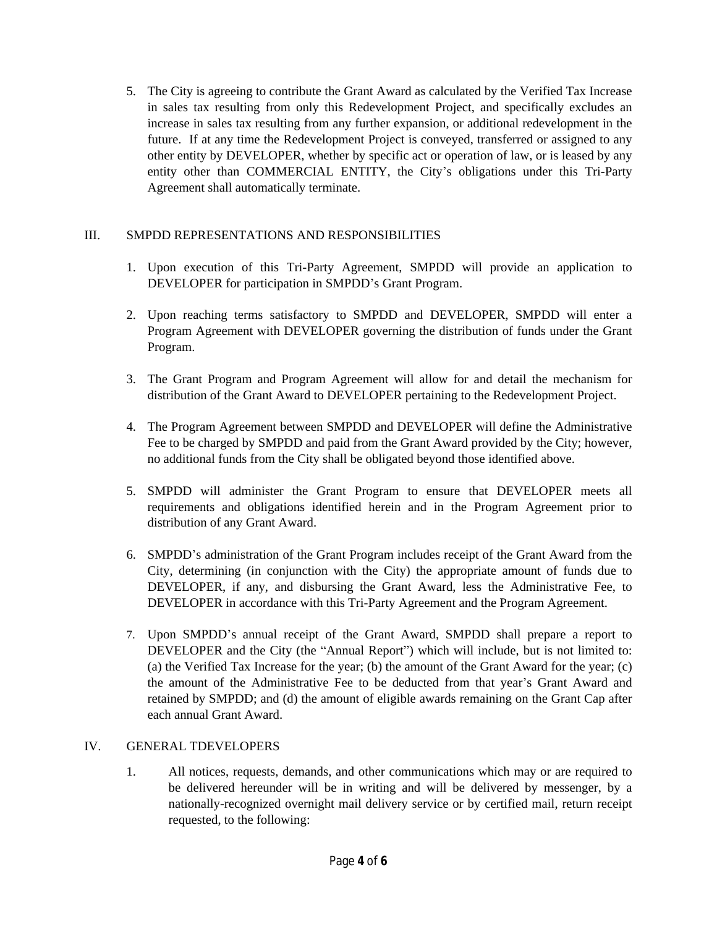5. The City is agreeing to contribute the Grant Award as calculated by the Verified Tax Increase in sales tax resulting from only this Redevelopment Project, and specifically excludes an increase in sales tax resulting from any further expansion, or additional redevelopment in the future. If at any time the Redevelopment Project is conveyed, transferred or assigned to any other entity by DEVELOPER, whether by specific act or operation of law, or is leased by any entity other than COMMERCIAL ENTITY, the City's obligations under this Tri-Party Agreement shall automatically terminate.

# III. SMPDD REPRESENTATIONS AND RESPONSIBILITIES

- 1. Upon execution of this Tri-Party Agreement, SMPDD will provide an application to DEVELOPER for participation in SMPDD's Grant Program.
- 2. Upon reaching terms satisfactory to SMPDD and DEVELOPER, SMPDD will enter a Program Agreement with DEVELOPER governing the distribution of funds under the Grant Program.
- 3. The Grant Program and Program Agreement will allow for and detail the mechanism for distribution of the Grant Award to DEVELOPER pertaining to the Redevelopment Project.
- 4. The Program Agreement between SMPDD and DEVELOPER will define the Administrative Fee to be charged by SMPDD and paid from the Grant Award provided by the City; however, no additional funds from the City shall be obligated beyond those identified above.
- 5. SMPDD will administer the Grant Program to ensure that DEVELOPER meets all requirements and obligations identified herein and in the Program Agreement prior to distribution of any Grant Award.
- 6. SMPDD's administration of the Grant Program includes receipt of the Grant Award from the City, determining (in conjunction with the City) the appropriate amount of funds due to DEVELOPER, if any, and disbursing the Grant Award, less the Administrative Fee, to DEVELOPER in accordance with this Tri-Party Agreement and the Program Agreement.
- 7. Upon SMPDD's annual receipt of the Grant Award, SMPDD shall prepare a report to DEVELOPER and the City (the "Annual Report") which will include, but is not limited to: (a) the Verified Tax Increase for the year; (b) the amount of the Grant Award for the year; (c) the amount of the Administrative Fee to be deducted from that year's Grant Award and retained by SMPDD; and (d) the amount of eligible awards remaining on the Grant Cap after each annual Grant Award.

## IV. GENERAL TDEVELOPERS

1. All notices, requests, demands, and other communications which may or are required to be delivered hereunder will be in writing and will be delivered by messenger, by a nationally-recognized overnight mail delivery service or by certified mail, return receipt requested, to the following: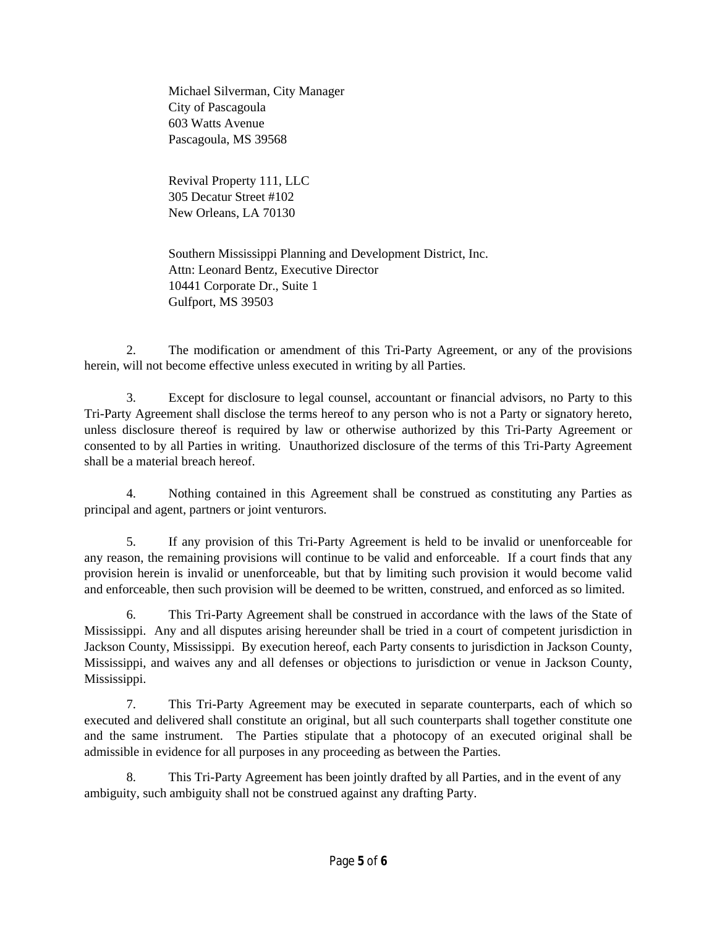Michael Silverman, City Manager City of Pascagoula 603 Watts Avenue Pascagoula, MS 39568

Revival Property 111, LLC 305 Decatur Street #102 New Orleans, LA 70130

Southern Mississippi Planning and Development District, Inc. Attn: Leonard Bentz, Executive Director 10441 Corporate Dr., Suite 1 Gulfport, MS 39503

2. The modification or amendment of this Tri-Party Agreement, or any of the provisions herein, will not become effective unless executed in writing by all Parties.

3. Except for disclosure to legal counsel, accountant or financial advisors, no Party to this Tri-Party Agreement shall disclose the terms hereof to any person who is not a Party or signatory hereto, unless disclosure thereof is required by law or otherwise authorized by this Tri-Party Agreement or consented to by all Parties in writing. Unauthorized disclosure of the terms of this Tri-Party Agreement shall be a material breach hereof.

4. Nothing contained in this Agreement shall be construed as constituting any Parties as principal and agent, partners or joint venturors.

5. If any provision of this Tri-Party Agreement is held to be invalid or unenforceable for any reason, the remaining provisions will continue to be valid and enforceable. If a court finds that any provision herein is invalid or unenforceable, but that by limiting such provision it would become valid and enforceable, then such provision will be deemed to be written, construed, and enforced as so limited.

6. This Tri-Party Agreement shall be construed in accordance with the laws of the State of Mississippi. Any and all disputes arising hereunder shall be tried in a court of competent jurisdiction in Jackson County, Mississippi. By execution hereof, each Party consents to jurisdiction in Jackson County, Mississippi, and waives any and all defenses or objections to jurisdiction or venue in Jackson County, Mississippi.

7. This Tri-Party Agreement may be executed in separate counterparts, each of which so executed and delivered shall constitute an original, but all such counterparts shall together constitute one and the same instrument. The Parties stipulate that a photocopy of an executed original shall be admissible in evidence for all purposes in any proceeding as between the Parties.

8. This Tri-Party Agreement has been jointly drafted by all Parties, and in the event of any ambiguity, such ambiguity shall not be construed against any drafting Party.